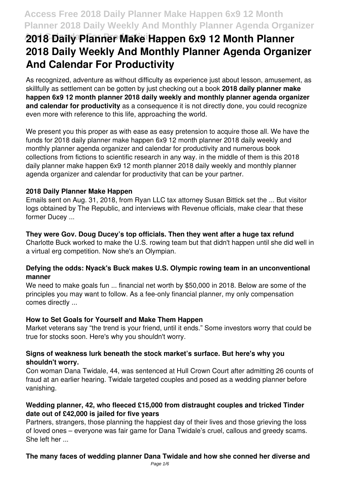# **And Calendar For Productivity 2018 Daily Planner Make Happen 6x9 12 Month Planner 2018 Daily Weekly And Monthly Planner Agenda Organizer And Calendar For Productivity**

As recognized, adventure as without difficulty as experience just about lesson, amusement, as skillfully as settlement can be gotten by just checking out a book **2018 daily planner make happen 6x9 12 month planner 2018 daily weekly and monthly planner agenda organizer and calendar for productivity** as a consequence it is not directly done, you could recognize even more with reference to this life, approaching the world.

We present you this proper as with ease as easy pretension to acquire those all. We have the funds for 2018 daily planner make happen 6x9 12 month planner 2018 daily weekly and monthly planner agenda organizer and calendar for productivity and numerous book collections from fictions to scientific research in any way. in the middle of them is this 2018 daily planner make happen 6x9 12 month planner 2018 daily weekly and monthly planner agenda organizer and calendar for productivity that can be your partner.

#### **2018 Daily Planner Make Happen**

Emails sent on Aug. 31, 2018, from Ryan LLC tax attorney Susan Bittick set the ... But visitor logs obtained by The Republic, and interviews with Revenue officials, make clear that these former Ducey ...

#### **They were Gov. Doug Ducey's top officials. Then they went after a huge tax refund**

Charlotte Buck worked to make the U.S. rowing team but that didn't happen until she did well in a virtual erg competition. Now she's an Olympian.

#### **Defying the odds: Nyack's Buck makes U.S. Olympic rowing team in an unconventional manner**

We need to make goals fun ... financial net worth by \$50,000 in 2018. Below are some of the principles you may want to follow. As a fee-only financial planner, my only compensation comes directly ...

#### **How to Set Goals for Yourself and Make Them Happen**

Market veterans say "the trend is your friend, until it ends." Some investors worry that could be true for stocks soon. Here's why you shouldn't worry.

#### **Signs of weakness lurk beneath the stock market's surface. But here's why you shouldn't worry.**

Con woman Dana Twidale, 44, was sentenced at Hull Crown Court after admitting 26 counts of fraud at an earlier hearing. Twidale targeted couples and posed as a wedding planner before vanishing.

#### **Wedding planner, 42, who fleeced £15,000 from distraught couples and tricked Tinder date out of £42,000 is jailed for five years**

Partners, strangers, those planning the happiest day of their lives and those grieving the loss of loved ones – everyone was fair game for Dana Twidale's cruel, callous and greedy scams. She left her ...

#### **The many faces of wedding planner Dana Twidale and how she conned her diverse and**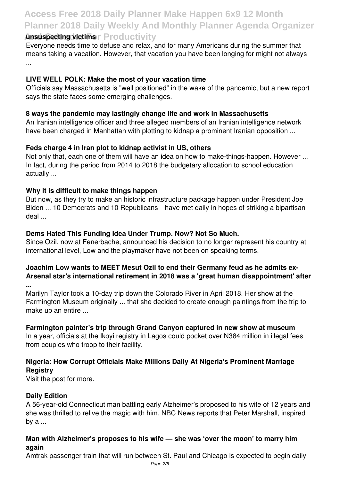## **Access Free 2018 Daily Planner Make Happen 6x9 12 Month Planner 2018 Daily Weekly And Monthly Planner Agenda Organizer Ansuspecting victims r** Productivity

#### Everyone needs time to defuse and relax, and for many Americans during the summer that means taking a vacation. However, that vacation you have been longing for might not always ...

#### **LIVE WELL POLK: Make the most of your vacation time**

Officials say Massachusetts is "well positioned" in the wake of the pandemic, but a new report says the state faces some emerging challenges.

#### **8 ways the pandemic may lastingly change life and work in Massachusetts**

An Iranian intelligence officer and three alleged members of an Iranian intelligence network have been charged in Manhattan with plotting to kidnap a prominent Iranian opposition ...

#### **Feds charge 4 in Iran plot to kidnap activist in US, others**

Not only that, each one of them will have an idea on how to make-things-happen. However ... In fact, during the period from 2014 to 2018 the budgetary allocation to school education actually ...

#### **Why it is difficult to make things happen**

But now, as they try to make an historic infrastructure package happen under President Joe Biden ... 10 Democrats and 10 Republicans—have met daily in hopes of striking a bipartisan deal ...

#### **Dems Hated This Funding Idea Under Trump. Now? Not So Much.**

Since Ozil, now at Fenerbache, announced his decision to no longer represent his country at international level, Low and the playmaker have not been on speaking terms.

### **Joachim Low wants to MEET Mesut Ozil to end their Germany feud as he admits ex-Arsenal star's international retirement in 2018 was a 'great human disappointment' after**

**...**

Marilyn Taylor took a 10-day trip down the Colorado River in April 2018. Her show at the Farmington Museum originally ... that she decided to create enough paintings from the trip to make up an entire ...

### **Farmington painter's trip through Grand Canyon captured in new show at museum**

In a year, officials at the Ikoyi registry in Lagos could pocket over N384 million in illegal fees from couples who troop to their facility.

### **Nigeria: How Corrupt Officials Make Millions Daily At Nigeria's Prominent Marriage Registry**

Visit the post for more.

### **Daily Edition**

A 56-year-old Connecticut man battling early Alzheimer's proposed to his wife of 12 years and she was thrilled to relive the magic with him. NBC News reports that Peter Marshall, inspired by a ...

### **Man with Alzheimer's proposes to his wife — she was 'over the moon' to marry him again**

Amtrak passenger train that will run between St. Paul and Chicago is expected to begin daily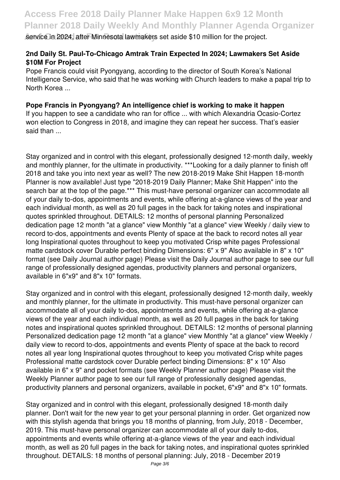**Service in 2024, after Minnesota lawmakers set aside \$10 million for the project.** 

#### **2nd Daily St. Paul-To-Chicago Amtrak Train Expected In 2024; Lawmakers Set Aside \$10M For Project**

Pope Francis could visit Pyongyang, according to the director of South Korea's National Intelligence Service, who said that he was working with Church leaders to make a papal trip to North Korea ...

#### **Pope Francis in Pyongyang? An intelligence chief is working to make it happen**

If you happen to see a candidate who ran for office ... with which Alexandria Ocasio-Cortez won election to Congress in 2018, and imagine they can repeat her success. That's easier said than ...

Stay organized and in control with this elegant, professionally designed 12-month daily, weekly and monthly planner, for the ultimate in productivity. \*\*\*Looking for a daily planner to finish off 2018 and take you into next year as well? The new 2018-2019 Make Shit Happen 18-month Planner is now available! Just type "2018-2019 Daily Planner; Make Shit Happen" into the search bar at the top of the page.\*\*\* This must-have personal organizer can accommodate all of your daily to-dos, appointments and events, while offering at-a-glance views of the year and each individual month, as well as 20 full pages in the back for taking notes and inspirational quotes sprinkled throughout. DETAILS: 12 months of personal planning Personalized dedication page 12 month "at a glance" view Monthly "at a glance" view Weekly / daily view to record to-dos, appointments and events Plenty of space at the back to record notes all year long Inspirational quotes throughout to keep you motivated Crisp white pages Professional matte cardstock cover Durable perfect binding Dimensions: 6" x 9" Also available in 8" x 10" format (see Daily Journal author page) Please visit the Daily Journal author page to see our full range of professionally designed agendas, productivity planners and personal organizers, available in 6"x9" and 8"x 10" formats.

Stay organized and in control with this elegant, professionally designed 12-month daily, weekly and monthly planner, for the ultimate in productivity. This must-have personal organizer can accommodate all of your daily to-dos, appointments and events, while offering at-a-glance views of the year and each individual month, as well as 20 full pages in the back for taking notes and inspirational quotes sprinkled throughout. DETAILS: 12 months of personal planning Personalized dedication page 12 month "at a glance" view Monthly "at a glance" view Weekly / daily view to record to-dos, appointments and events Plenty of space at the back to record notes all year long Inspirational quotes throughout to keep you motivated Crisp white pages Professional matte cardstock cover Durable perfect binding Dimensions: 8" x 10" Also available in 6" x 9" and pocket formats (see Weekly Planner author page) Please visit the Weekly Planner author page to see our full range of professionally designed agendas, productivity planners and personal organizers, available in pocket, 6"x9" and 8"x 10" formats.

Stay organized and in control with this elegant, professionally designed 18-month daily planner. Don't wait for the new year to get your personal planning in order. Get organized now with this stylish agenda that brings you 18 months of planning, from July, 2018 - December, 2019. This must-have personal organizer can accommodate all of your daily to-dos, appointments and events while offering at-a-glance views of the year and each individual month, as well as 20 full pages in the back for taking notes, and inspirational quotes sprinkled throughout. DETAILS: 18 months of personal planning: July, 2018 - December 2019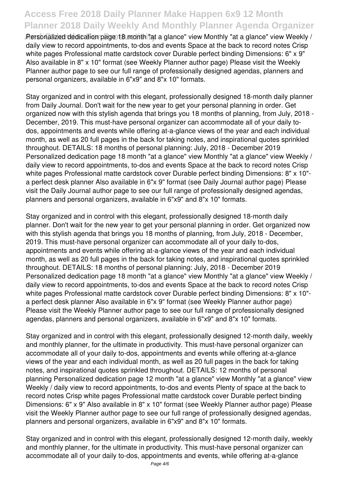**And Calendar For Productivity** Personalized dedication page 18 month "at a glance" view Monthly "at a glance" view Weekly / daily view to record appointments, to-dos and events Space at the back to record notes Crisp white pages Professional matte cardstock cover Durable perfect binding Dimensions: 6" x 9" Also available in 8" x 10" format (see Weekly Planner author page) Please visit the Weekly Planner author page to see our full range of professionally designed agendas, planners and personal organizers, available in 6"x9" and 8"x 10" formats.

Stay organized and in control with this elegant, professionally designed 18-month daily planner from Daily Journal. Don't wait for the new year to get your personal planning in order. Get organized now with this stylish agenda that brings you 18 months of planning, from July, 2018 - December, 2019. This must-have personal organizer can accommodate all of your daily todos, appointments and events while offering at-a-glance views of the year and each individual month, as well as 20 full pages in the back for taking notes, and inspirational quotes sprinkled throughout. DETAILS: 18 months of personal planning: July, 2018 - December 2019 Personalized dedication page 18 month "at a glance" view Monthly "at a glance" view Weekly / daily view to record appointments, to-dos and events Space at the back to record notes Crisp white pages Professional matte cardstock cover Durable perfect binding Dimensions: 8" x 10" a perfect desk planner Also available in 6"x 9" format (see Daily Journal author page) Please visit the Daily Journal author page to see our full range of professionally designed agendas, planners and personal organizers, available in 6"x9" and 8"x 10" formats.

Stay organized and in control with this elegant, professionally designed 18-month daily planner. Don't wait for the new year to get your personal planning in order. Get organized now with this stylish agenda that brings you 18 months of planning, from July, 2018 - December, 2019. This must-have personal organizer can accommodate all of your daily to-dos, appointments and events while offering at-a-glance views of the year and each individual month, as well as 20 full pages in the back for taking notes, and inspirational quotes sprinkled throughout. DETAILS: 18 months of personal planning: July, 2018 - December 2019 Personalized dedication page 18 month "at a glance" view Monthly "at a glance" view Weekly / daily view to record appointments, to-dos and events Space at the back to record notes Crisp white pages Professional matte cardstock cover Durable perfect binding Dimensions: 8" x 10" a perfect desk planner Also available in 6"x 9" format (see Weekly Planner author page) Please visit the Weekly Planner author page to see our full range of professionally designed agendas, planners and personal organizers, available in 6"x9" and 8"x 10" formats.

Stay organized and in control with this elegant, professionally designed 12-month daily, weekly and monthly planner, for the ultimate in productivity. This must-have personal organizer can accommodate all of your daily to-dos, appointments and events while offering at-a-glance views of the year and each individual month, as well as 20 full pages in the back for taking notes, and inspirational quotes sprinkled throughout. DETAILS: 12 months of personal planning Personalized dedication page 12 month "at a glance" view Monthly "at a glance" view Weekly / daily view to record appointments, to-dos and events Plenty of space at the back to record notes Crisp white pages Professional matte cardstock cover Durable perfect binding Dimensions: 6" x 9" Also available in 8" x 10" format (see Weekly Planner author page) Please visit the Weekly Planner author page to see our full range of professionally designed agendas, planners and personal organizers, available in 6"x9" and 8"x 10" formats.

Stay organized and in control with this elegant, professionally designed 12-month daily, weekly and monthly planner, for the ultimate in productivity. This must-have personal organizer can accommodate all of your daily to-dos, appointments and events, while offering at-a-glance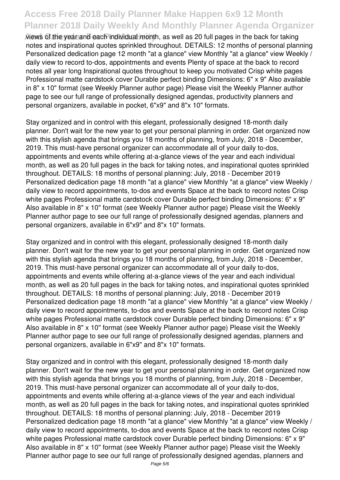**And Calendar Form Calendar Form Calendar Form Calendar Form Calendar Form in the back for taking** notes and inspirational quotes sprinkled throughout. DETAILS: 12 months of personal planning Personalized dedication page 12 month "at a glance" view Monthly "at a glance" view Weekly / daily view to record to-dos, appointments and events Plenty of space at the back to record notes all year long Inspirational quotes throughout to keep you motivated Crisp white pages Professional matte cardstock cover Durable perfect binding Dimensions: 6" x 9" Also available in 8" x 10" format (see Weekly Planner author page) Please visit the Weekly Planner author page to see our full range of professionally designed agendas, productivity planners and personal organizers, available in pocket, 6"x9" and 8"x 10" formats.

Stay organized and in control with this elegant, professionally designed 18-month daily planner. Don't wait for the new year to get your personal planning in order. Get organized now with this stylish agenda that brings you 18 months of planning, from July, 2018 - December, 2019. This must-have personal organizer can accommodate all of your daily to-dos, appointments and events while offering at-a-glance views of the year and each individual month, as well as 20 full pages in the back for taking notes, and inspirational quotes sprinkled throughout. DETAILS: 18 months of personal planning: July, 2018 - December 2019 Personalized dedication page 18 month "at a glance" view Monthly "at a glance" view Weekly / daily view to record appointments, to-dos and events Space at the back to record notes Crisp white pages Professional matte cardstock cover Durable perfect binding Dimensions: 6" x 9" Also available in 8" x 10" format (see Weekly Planner author page) Please visit the Weekly Planner author page to see our full range of professionally designed agendas, planners and personal organizers, available in 6"x9" and 8"x 10" formats.

Stay organized and in control with this elegant, professionally designed 18-month daily planner. Don't wait for the new year to get your personal planning in order. Get organized now with this stylish agenda that brings you 18 months of planning, from July, 2018 - December, 2019. This must-have personal organizer can accommodate all of your daily to-dos, appointments and events while offering at-a-glance views of the year and each individual month, as well as 20 full pages in the back for taking notes, and inspirational quotes sprinkled throughout. DETAILS: 18 months of personal planning: July, 2018 - December 2019 Personalized dedication page 18 month "at a glance" view Monthly "at a glance" view Weekly / daily view to record appointments, to-dos and events Space at the back to record notes Crisp white pages Professional matte cardstock cover Durable perfect binding Dimensions: 6" x 9" Also available in 8" x 10" format (see Weekly Planner author page) Please visit the Weekly Planner author page to see our full range of professionally designed agendas, planners and personal organizers, available in 6"x9" and 8"x 10" formats.

Stay organized and in control with this elegant, professionally designed 18-month daily planner. Don't wait for the new year to get your personal planning in order. Get organized now with this stylish agenda that brings you 18 months of planning, from July, 2018 - December, 2019. This must-have personal organizer can accommodate all of your daily to-dos, appointments and events while offering at-a-glance views of the year and each individual month, as well as 20 full pages in the back for taking notes, and inspirational quotes sprinkled throughout. DETAILS: 18 months of personal planning: July, 2018 - December 2019 Personalized dedication page 18 month "at a glance" view Monthly "at a glance" view Weekly / daily view to record appointments, to-dos and events Space at the back to record notes Crisp white pages Professional matte cardstock cover Durable perfect binding Dimensions: 6" x 9" Also available in 8" x 10" format (see Weekly Planner author page) Please visit the Weekly Planner author page to see our full range of professionally designed agendas, planners and